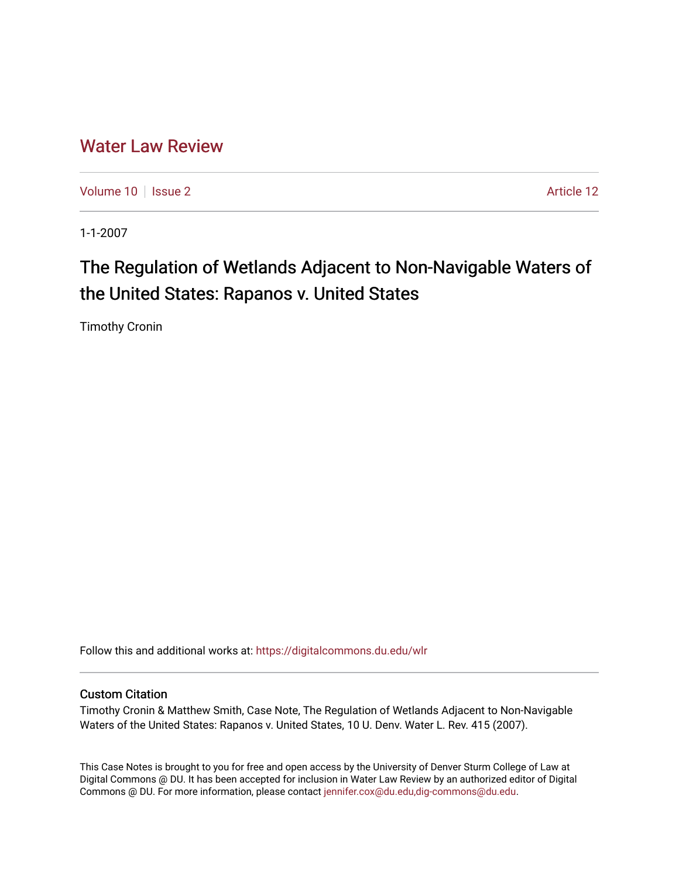## [Water Law Review](https://digitalcommons.du.edu/wlr)

[Volume 10](https://digitalcommons.du.edu/wlr/vol10) | [Issue 2](https://digitalcommons.du.edu/wlr/vol10/iss2) Article 12

1-1-2007

# The Regulation of Wetlands Adjacent to Non-Navigable Waters of the United States: Rapanos v. United States

Timothy Cronin

Follow this and additional works at: [https://digitalcommons.du.edu/wlr](https://digitalcommons.du.edu/wlr?utm_source=digitalcommons.du.edu%2Fwlr%2Fvol10%2Fiss2%2F12&utm_medium=PDF&utm_campaign=PDFCoverPages) 

#### Custom Citation

Timothy Cronin & Matthew Smith, Case Note, The Regulation of Wetlands Adjacent to Non-Navigable Waters of the United States: Rapanos v. United States, 10 U. Denv. Water L. Rev. 415 (2007).

This Case Notes is brought to you for free and open access by the University of Denver Sturm College of Law at Digital Commons @ DU. It has been accepted for inclusion in Water Law Review by an authorized editor of Digital Commons @ DU. For more information, please contact [jennifer.cox@du.edu,dig-commons@du.edu.](mailto:jennifer.cox@du.edu,dig-commons@du.edu)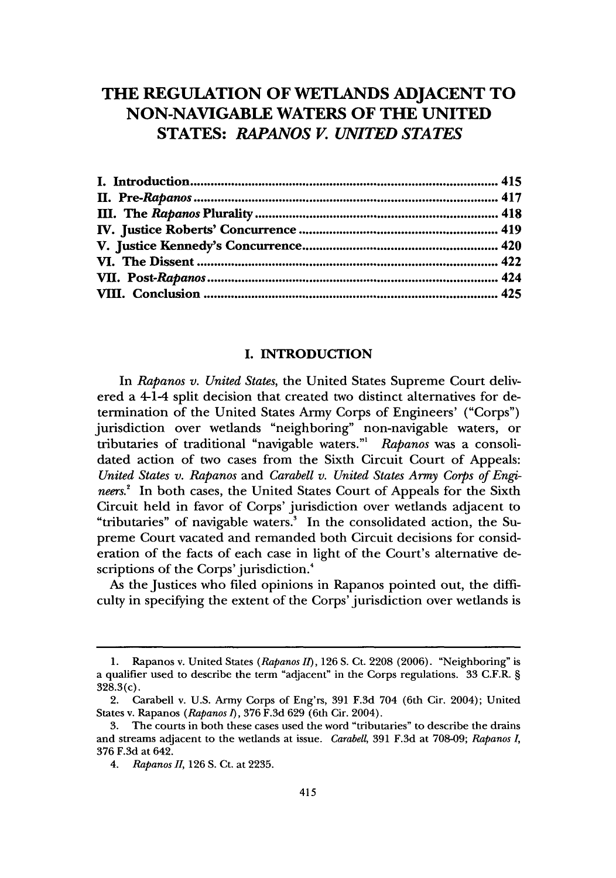### **THE REGULATION OF WETLANDS ADJACENT TO NON-NAVIGABLE WATERS OF THE UNITED STATES:** *RAPANOS V. UNITED STATES*

#### **I. INTRODUCTION**

In *Rapanos v. United States,* the United States Supreme Court delivered a 4-1-4 split decision that created two distinct alternatives for determination of the United States Army Corps of Engineers' ("Corps") jurisdiction over wetlands "neighboring" non-navigable waters, or tributaries of traditional "navigable waters."' *Rapanos* was a consolidated action of two cases from the Sixth Circuit Court of Appeals: *United States v. Rapanos* and *Carabell v. United States Army Corps of Engineers.'* In both cases, the United States Court of Appeals for the Sixth Circuit held in favor of Corps' jurisdiction over wetlands adjacent to "tributaries" of navigable waters.<sup>3</sup> In the consolidated action, the Supreme Court vacated and remanded both Circuit decisions for consideration of the facts of each case in light of the Court's alternative descriptions of the Corps' jurisdiction.<sup>4</sup>

As the Justices who filed opinions in Rapanos pointed out, the difficulty in specifying the extent of the Corps' jurisdiction over wetlands is

Rapanos v. United States *(Rapanos II)*, 126 S. Ct. 2208 (2006). "Neighboring" is a qualifier used to describe the term "adjacent" in the Corps regulations. 33 C.F.R. **§** 328.3(c).

<sup>2.</sup> Carabell v. U.S. Army Corps of Eng'rs, 391 F.3d 704 (6th Cir. 2004); United States v. Rapanos *(Rapanos 1),* 376 F.3d 629 (6th Cir. 2004).

<sup>3.</sup> The courts in both these cases used the word "tributaries" to describe the drains and streams adjacent to the wetlands at issue. *Carabell,* 391 F.3d at 708-09; *Rapanos I,* 376 F.3d at 642.

*<sup>4.</sup> Rapanos II,* 126 S. Ct. at 2235.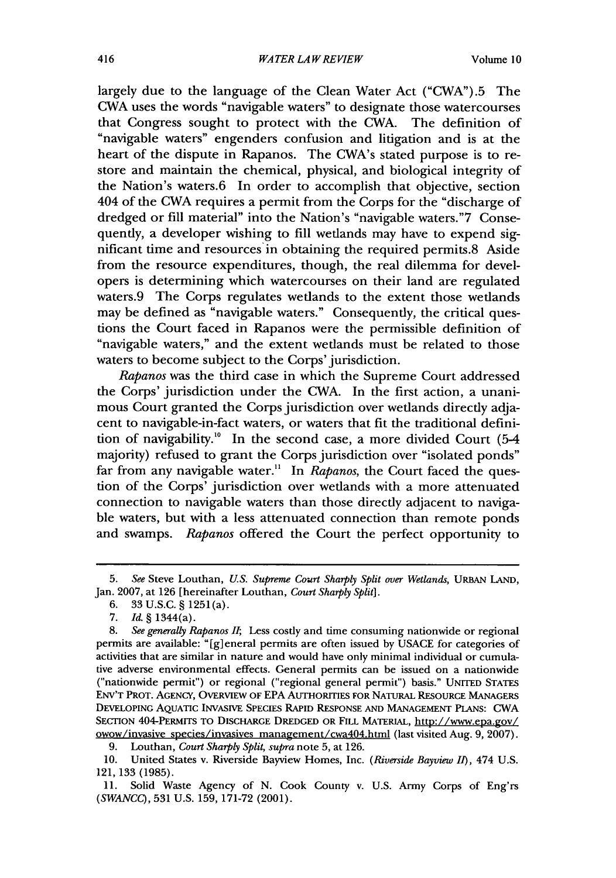largely due to the language of the Clean Water Act ("CWA").5 The CWA uses the words "navigable waters" to designate those watercourses that Congress sought to protect with the CWA. The definition of "navigable waters" engenders confusion and litigation and is at the heart of the dispute in Rapanos. The CWA's stated purpose is to restore and maintain the chemical, physical, and biological integrity of the Nation's waters.6 In order to accomplish that objective, section 404 of the CWA requires a permit from the Corps for the "discharge of dredged or fill material" into the Nation's "navigable waters."7 Consequently, a developer wishing to fill wetlands may have to expend significant time and resources in obtaining the required permits.8 Aside from the resource expenditures, though, the real dilemma for developers is determining which watercourses on their land are regulated waters.9 The Corps regulates wetlands to the extent those wetlands may be defined as "navigable waters." Consequently, the critical questions the Court faced in Rapanos were the permissible definition of "navigable waters," and the extent wetlands must be related to those waters to become subject to the Corps' jurisdiction.

*Rapanos* was the third case in which the Supreme Court addressed the Corps' jurisdiction under the CWA. In the first action, a unanimous Court granted the Corps jurisdiction over wetlands directly adjacent to navigable-in-fact waters, or waters that fit the traditional definition of navigability.'" In the second case, a more divided Court (5-4 majority) refused to grant the Corps jurisdiction over "isolated ponds" far from any navigable water.<sup>11</sup> In *Rapanos*, the Court faced the question of the Corps' jurisdiction over wetlands with a more attenuated connection to navigable waters than those directly adjacent to navigable waters, but with a less attenuated connection than remote ponds and swamps. *Rapanos* offered the Court the perfect opportunity to

<sup>5.</sup> *See* Steve Louthan, *US. Supreme Court Sharply Split over Wetlands,* URBAN LAND, Jan. 2007, at 126 [hereinafter Louthan, *Court Sharply Split].*

<sup>6. 33</sup> U.S.C. § 1251(a).

<sup>7.</sup> *Id.* § 1344(a).

*<sup>8.</sup> See generally Rapanos II;* Less costly and time consuming nationwide or regional permits are available: "[g] eneral permits are often issued by USACE for categories of activities that are similar in nature and would have only minimal individual or cumulative adverse environmental effects. General permits can be issued on a nationwide ("nationwide permit") or regional ("regional general permit") basis." UNITED STATES ENV'T PROT. AGENCY, OVERVIEW OF EPA AUTHORITIES FOR NATURAL RESOURCE MANAGERS **DEVELOPING** AQUATIC INVASIvE SPECIES RAPID RESPONSE **AND** MANAGEMENT PLANS: CWA SECTION 404-PERMITS TO DISCHARGE DREDGED OR FILL MATERIAL, http://www.epa.gov/ owow/invasive species/invasives management/cwa404.html (last visited Aug. 9, 2007).

**<sup>9.</sup>** Louthan, *Court Sharply Split, supra* note **5,** at **126.**

<sup>10.</sup> United States v. Riverside Bayview Homes, Inc. *(Riverside Bayview II),* 474 U.S. 121,133 (1985).

**<sup>11.</sup>** Solid Waste Agency of **N.** Cook County v. U.S. Army Corps of Eng'rs *(SWANCC),* 531 U.S. 159, 171-72 (2001).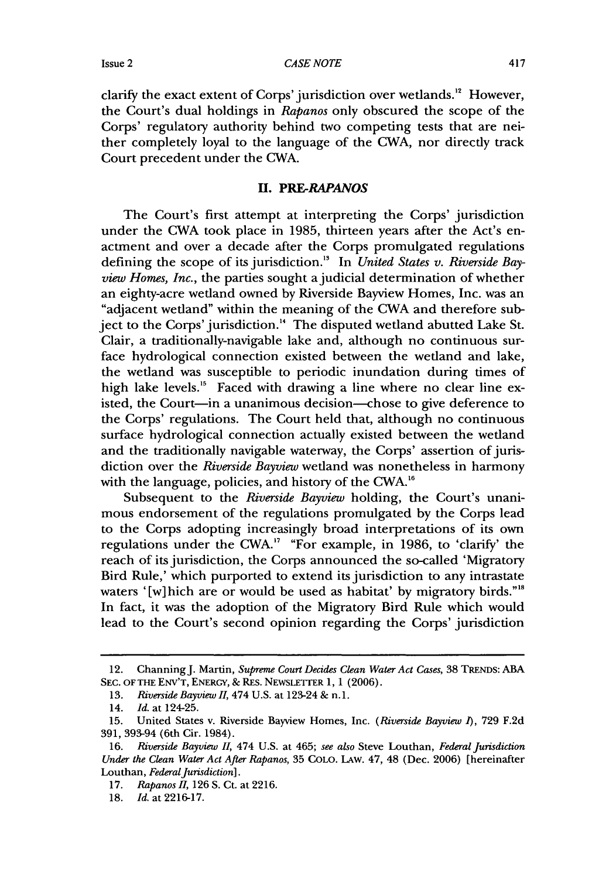*CASE NOTE*

clarify the exact extent of Corps' jurisdiction over wetlands.'" However, the Court's dual holdings in *Rapanos* only obscured the scope of the Corps' regulatory authority behind two competing tests that are neither completely loyal to the language of the CWA, nor directly track Court precedent under the CWA.

#### *U. PRE-RAPANOS*

The Court's first attempt at interpreting the Corps' jurisdiction under the CWA took place in 1985, thirteen years after the Act's enactment and over a decade after the Corps promulgated regulations defining the scope of its jurisdiction." In *United States v. Riverside Bayview Homes, Inc.,* the parties sought a judicial determination of whether an eighty-acre wetland owned by Riverside Bayview Homes, Inc. was an "adjacent wetland" within the meaning of the CWA and therefore subject to the Corps' jurisdiction." The disputed wetland abutted Lake St. Clair, a traditionally-navigable lake and, although no continuous surface hydrological connection existed between the wetland and lake, the wetland was susceptible to periodic inundation during times of high lake levels.<sup>15</sup> Faced with drawing a line where no clear line existed, the Court-in a unanimous decision-chose to give deference to the Corps' regulations. The Court held that, although no continuous surface hydrological connection actually existed between the wetland and the traditionally navigable waterway, the Corps' assertion of jurisdiction over the *Riverside Bayview* wetland was nonetheless in harmony with the language, policies, and history of the CWA.<sup>16</sup>

Subsequent to the *Riverside Bayview* holding, the Court's unanimous endorsement of the regulations promulgated by the Corps lead to the Corps adopting increasingly broad interpretations of its own regulations under the CWA.'7 "For example, in 1986, to 'clarify' the reach of its jurisdiction, the Corps announced the so-called 'Migratory Bird Rule,' which purported to extend its jurisdiction to any intrastate waters '[w]hich are or would be used as habitat' by migratory birds."'8 In fact, it was the adoption of the Migratory Bird Rule which would lead to the Court's second opinion regarding the Corps' jurisdiction

<sup>12.</sup> ChanningJ. Martin, *Supreme Court Decides Clean Water Act Cases,* 38 **TRENDS:** ABA **SEC. OF** THE **ENV'T,** ENERGY, & RES. NEWSLETTER 1, 1 (2006).

<sup>13.</sup> *Riverside Bayview* 11, 474 U.S. at 123-24 & n. 1.

<sup>14.</sup> *Id.* at 124-25.

<sup>15.</sup> United States v. Riverside Bayview Homes, Inc. *(Riverside Bayview 1),* 729 F.2d 391, 393-94 (6th Cir. 1984).

<sup>16.</sup> *Riverside Bayview* 11, 474 U.S. at 465; *see also* Steve Louthan, *Federal Jurisdiction Under the Clean Water Act After Rapanos,* 35 COLO. LAw. 47, 48 (Dec. 2006) [hereinafter Louthan, *Federal Jurisdiction*].

<sup>17.</sup> *Rapanos II,* 126 **S.** Ct. at 2216.

<sup>18.</sup> *Id.* at 2216-17.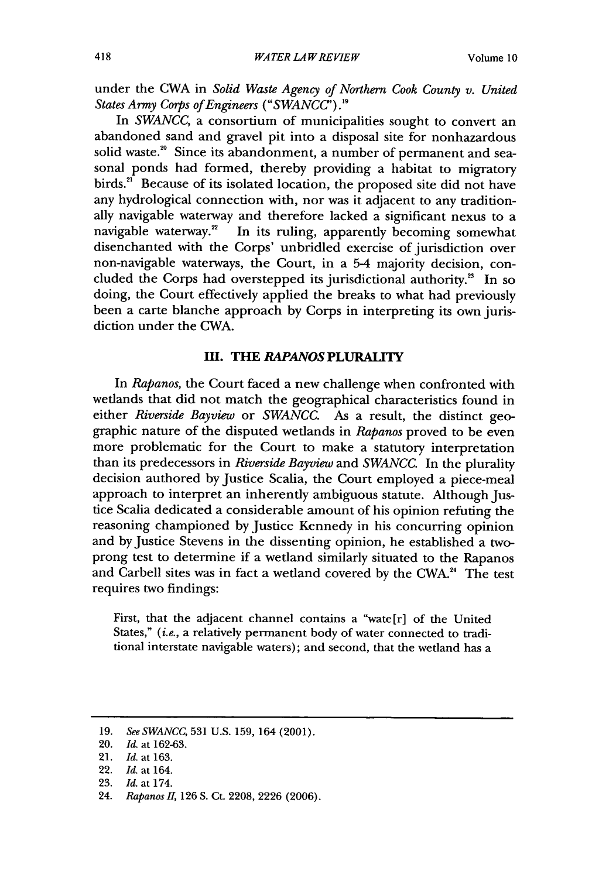under the CWA in *Solid Waste Agency of Northern Cook County v. United States Army Corps of Engineers (" SWANCC') ."*

In *SWANCC,* a consortium of municipalities sought to convert an abandoned sand and gravel pit into a disposal site for nonhazardous solid waste.<sup>20</sup> Since its abandonment, a number of permanent and seasonal ponds had formed, thereby providing a habitat to migratory birds.<sup>21</sup> Because of its isolated location, the proposed site did not have any hydrological connection with, nor was it adjacent to any traditionally navigable waterway and therefore lacked a significant nexus to a navigable waterway.<sup>22</sup> In its ruling, apparently becoming somewhat In its ruling, apparently becoming somewhat disenchanted with the Corps' unbridled exercise of jurisdiction over non-navigable waterways, the Court, in a 5-4 majority decision, concluded the Corps had overstepped its jurisdictional authority.<sup>25</sup> In so doing, the Court effectively applied the breaks to what had previously been a carte blanche approach by Corps in interpreting its own jurisdiction under the CWA.

#### m. **THE** *RAPANOS* **PLURALITY**

In *Rapanos,* the Court faced a new challenge when confronted with wetlands that did not match the geographical characteristics found in either *Riverside Bayview* or *SWANCC*. As a result, the distinct geographic nature of the disputed wetlands in *Rapanos* proved to be even more problematic for the Court to make a statutory interpretation than its predecessors in *Riverside Bayview* and *SWANCC.* In the plurality decision authored by Justice Scalia, the Court employed a piece-meal approach to interpret an inherently ambiguous statute. Although Justice Scalia dedicated a considerable amount of his opinion refuting the reasoning championed by Justice Kennedy in his concurring opinion and by Justice Stevens in the dissenting opinion, he established a twoprong test to determine if a wetland similarly situated to the Rapanos and Carbell sites was in fact a wetland covered by the CWA. $^{24}$  The test requires two findings:

First, that the adjacent channel contains a "wate[r] of the United States," *(i.e.,* a relatively permanent body of water connected to traditional interstate navigable waters); and second, that the wetland has a

- 22. *Id.* at 164.
- 23. *Id.* at 174.

<sup>19.</sup> *See SWANCC,* 531 U.S. 159, 164 (2001).

<sup>20.</sup> *Id.* at 162-63.

<sup>21.</sup> *Id. at* 163.

<sup>24.</sup> *Rapanos II,* 126 S. Ct. 2208, 2226 (2006).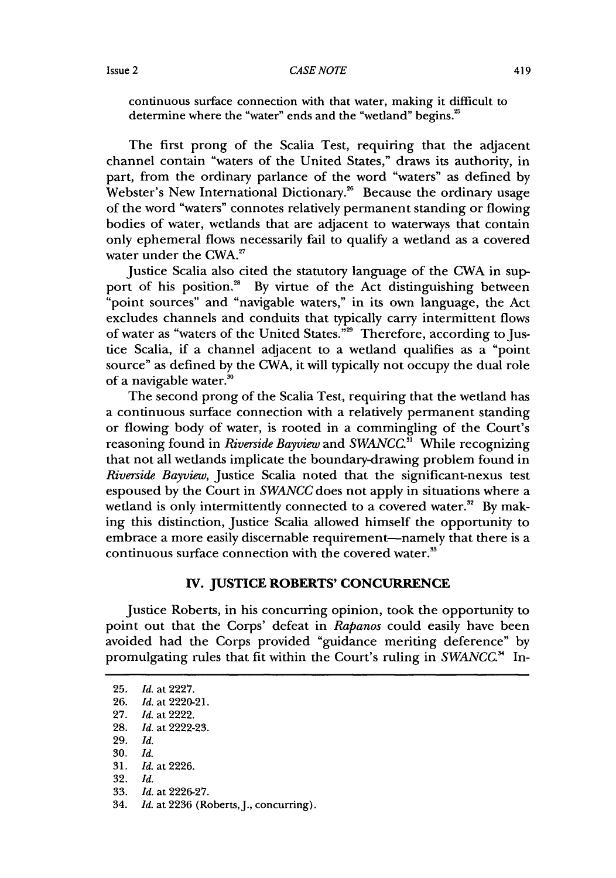continuous surface connection with that water, making it difficult to determine where the "water" ends and the "wetland" begins.<sup>25</sup>

The first prong of the Scalia Test, requiring that the adjacent channel contain "waters of the United States," draws its authority, in part, from the ordinary parlance of the word "waters" as defined by Webster's New International Dictionary." Because the ordinary usage of the word "waters" connotes relatively permanent standing or flowing bodies of water, wetlands that are adjacent to waterways that contain only ephemeral flows necessarily fail to qualify a wetland as a covered water under the CWA.<sup>27</sup>

Justice Scalia also cited the statutory language of the CWA in support of his position.<sup>38</sup> By virtue of the Act distinguishing between "point sources" and "navigable waters," in its own language, the Act excludes channels and conduits that typically carry intermittent flows of water as "waters of the United States."<sup>29</sup> Therefore, according to Justice Scalia, if a channel adjacent to a wetland qualifies as a "point source" as defined by the CWA, it will typically not occupy the dual role of a navigable water.'

The second prong of the Scalia Test, requiring that the wetland has a continuous surface connection with a relatively permanent standing or flowing body of water, is rooted in a commingling of the Court's reasoning found in *Riverside Bayview* and *SWANCC*.<sup>31</sup> While recognizing that not all wetlands implicate the boundary-drawing problem found in *Riverside Bayview,* Justice Scalia noted that the significant-nexus test espoused by the Court in *SWANCC* does not apply in situations where a wetland is only intermittently connected to a covered water.<sup>32</sup> By making this distinction, Justice Scalia allowed himself the opportunity to embrace a more easily discernable requirement—namely that there is a continuous surface connection with the covered water.

#### **TV. JUSTICE ROBERTS' CONCURRENCE**

Justice Roberts, in his concurring opinion, took the opportunity to point out that the Corps' defeat in *Rapanos* could easily have been avoided had the Corps provided "guidance meriting deference" by promulgating rules that fit within the Court's ruling in *SWANCC*.<sup>34</sup> In-

**<sup>25.</sup>** *Id.* at 2227.

<sup>26.</sup> *Id.* at 2220-21.

<sup>27.</sup> *Id.* at 2222.

<sup>28.</sup> *Id.* at 2222-23.

<sup>29.</sup> *Id.*

**<sup>30.</sup>** *Id.* 31. *Id.* at 2226.

<sup>32.</sup> *Id.*

<sup>33.</sup> *Id.* at 2226-27.

<sup>34.</sup> *Id.* at 2236 (Roberts,J., concurring).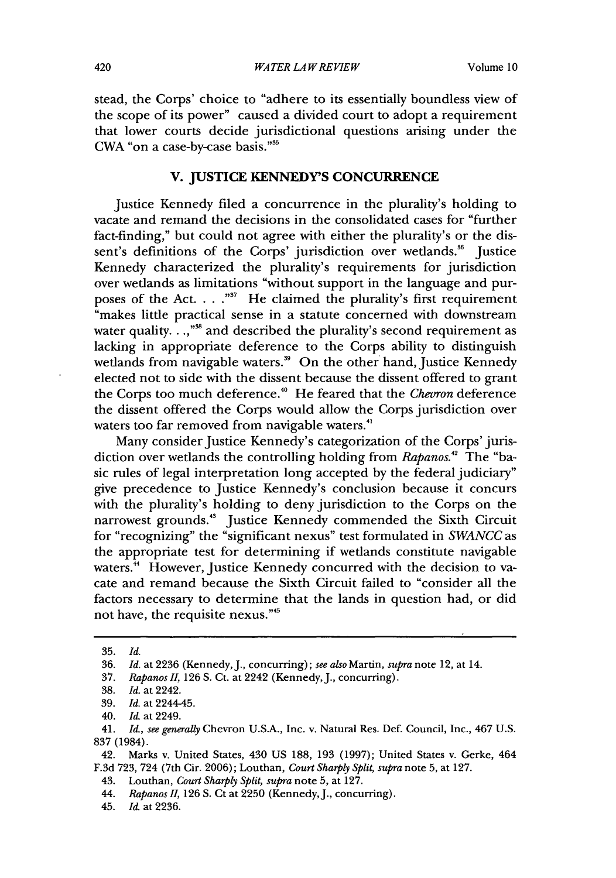stead, the Corps' choice to "adhere to its essentially boundless view of the scope of its power" caused a divided court to adopt a requirement that lower courts decide jurisdictional questions arising under the CWA "on a case-by-case basis."<sup>35</sup>

#### **V. JUSTICE KENNEDY'S CONCURRENCE**

Justice Kennedy filed a concurrence in the plurality's holding to vacate and remand the decisions in the consolidated cases for "further fact-finding," but could not agree with either the plurality's or the dissent's definitions of the Corps' jurisdiction over wetlands.<sup>36</sup> Justice Kennedy characterized the plurality's requirements for jurisdiction over wetlands as limitations "without support in the language and purposes of the Act. . . .<sup>"37</sup> He claimed the plurality's first requirement "makes little practical sense in a statute concerned with downstream water quality. . .,"<sup>88</sup> and described the plurality's second requirement as lacking in appropriate deference to the Corps ability to distinguish wetlands from navigable waters.<sup>39</sup> On the other hand, Justice Kennedy elected not to side with the dissent because the dissent offered to grant the Corps too much deference.<sup>40</sup> He feared that the *Chevron* deference the dissent offered the Corps would allow the Corps jurisdiction over waters too far removed from navigable waters.<sup>41</sup>

Many consider Justice Kennedy's categorization of the Corps' jurisdiction over wetlands the controlling holding from *Rapanos."* The "basic rules of legal interpretation long accepted by the federal judiciary" give precedence to Justice Kennedy's conclusion because it concurs with the plurality's holding to deny jurisdiction to the Corps on the narrowest grounds.<sup>43</sup> Justice Kennedy commended the Sixth Circuit for "recognizing" the "significant nexus" test formulated in *SWANCC* as the appropriate test for determining if wetlands constitute navigable waters.<sup>44</sup> However, Justice Kennedy concurred with the decision to vacate and remand because the Sixth Circuit failed to "consider all the factors necessary to determine that the lands in question had, or did not have, the requisite nexus.""

<sup>35.</sup> *Id.*

<sup>36.</sup> *Id.* at 2236 (Kennedy, J., concurring); see also Martin, *supra* note 12, at 14.

<sup>37.</sup> *Rapanos II,* 126 S. Ct. at 2242 (Kennedy, **J.,** concurring).

<sup>38.</sup> *Id.* at 2242.

<sup>39.</sup> *Id.* at 2244-45.

<sup>40.</sup> Id at 2249.

<sup>41.</sup> *Id, see generally* Chevron U.S.A., Inc. v. Natural Res. Def. Council, Inc., 467 U.S. 837 (1984).

<sup>42.</sup> Marks v. United States, 430 US 188, 193 (1997); United States v. Gerke, 464 F.3d 723, 724 (7th Cir. 2006); Louthan, *Court Sharply Split, supra* note 5, at 127.

<sup>43.</sup> Louthan, *Court Sharply Split, supra* note 5, at 127.

<sup>44.</sup> *Rapanos II,* 126 **S.** Ct at 2250 (Kennedy, J., concurring).

<sup>45.</sup> *Id* at 2236.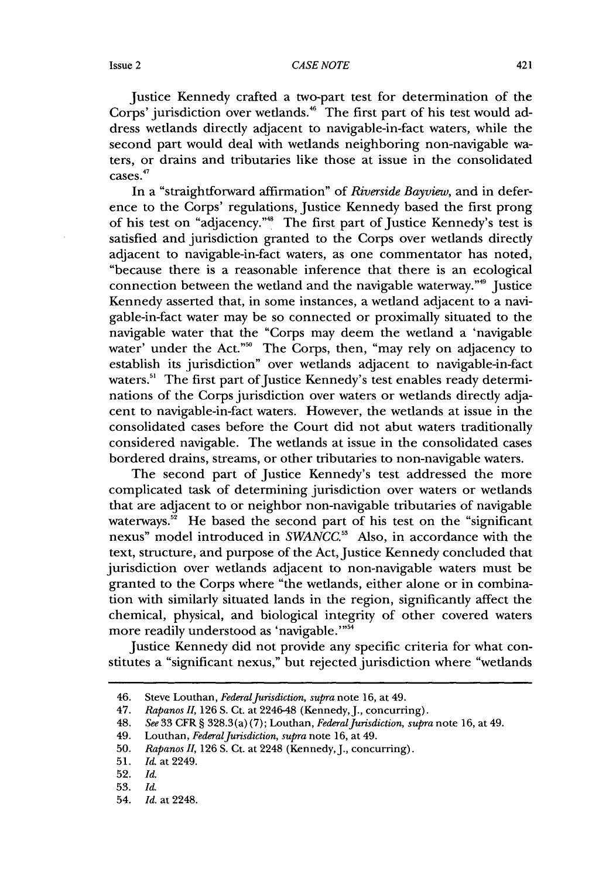#### *CASE NOTE*

Justice Kennedy crafted a two-part test for determination of the Corps' jurisdiction over wetlands.<sup>46</sup> The first part of his test would address wetlands directly adjacent to navigable-in-fact waters, while the second part would deal with wetlands neighboring non-navigable waters, or drains and tributaries like those at issue in the consolidated 47 cases.

In a "straightforward affirmation" of *Riverside Bayview,* and in deference to the Corps' regulations, Justice Kennedy based the first prong of his test on "adjacency."48 The first part of Justice Kennedy's test is satisfied and jurisdiction granted to the Corps over wetlands directly adjacent to navigable-in-fact waters, as one commentator has noted, "because there is a reasonable inference that there is an ecological connection between the wetland and the navigable waterway."<sup>9</sup> Justice Kennedy asserted that, in some instances, a wetland adjacent to a navigable-in-fact water may be so connected or proximally situated to the navigable water that the "Corps may deem the wetland a 'navigable water' under the Act."<sup>50</sup> The Corps, then, "may rely on adjacency to establish its jurisdiction" over wetlands adjacent to navigable-in-fact waters.<sup>51</sup> The first part of Justice Kennedy's test enables ready determinations of the Corps jurisdiction over waters or wetlands directly adjacent to navigable-in-fact waters. However, the wetlands at issue in the consolidated cases before the Court did not abut waters traditionally considered navigable. The wetlands at issue in the consolidated cases bordered drains, streams, or other tributaries to non-navigable waters.

The second part of Justice Kennedy's test addressed the more complicated task of determining jurisdiction over waters or wetlands that are adjacent to or neighbor non-navigable tributaries of navigable waterways.<sup>52</sup> He based the second part of his test on the "significant nexus" model introduced in *SWANCC.53* Also, in accordance with the text, structure, and purpose of the Act, Justice Kennedy concluded that jurisdiction over wetlands adjacent to non-navigable waters must be granted to the Corps where "the wetlands, either alone or in combination with similarly situated lands in the region, significantly affect the chemical, physical, and biological integrity of other covered waters more readily understood as 'navigable.""54

Justice Kennedy did not provide any specific criteria for what constitutes a "significant nexus," but rejected jurisdiction where "wetlands

<sup>46.</sup> Steve Louthan, *Federal Jurisdiction, supra* note 16, at 49.

<sup>47.</sup> *Rapanos II,* 126 **S.** Ct. at 2246-48 (Kennedy, J., concurring).

<sup>48.</sup> *See* 33 CFR § 328.3 (a) (7); Louthan, *Federal Jurisdiction, supra* note 16, at 49.

<sup>49.</sup> Louthan, *Federal Jurisdiction, supra* note 16, at 49.

<sup>50.</sup> *Rapanos II,* 126 **S.** Ct. at 2248 (Kennedy, J., concurring).

<sup>51.</sup> *Id.* at 2249.

<sup>52.</sup> *Id.*

<sup>53.</sup> *Id.*

<sup>54.</sup> *Id.* at 2248.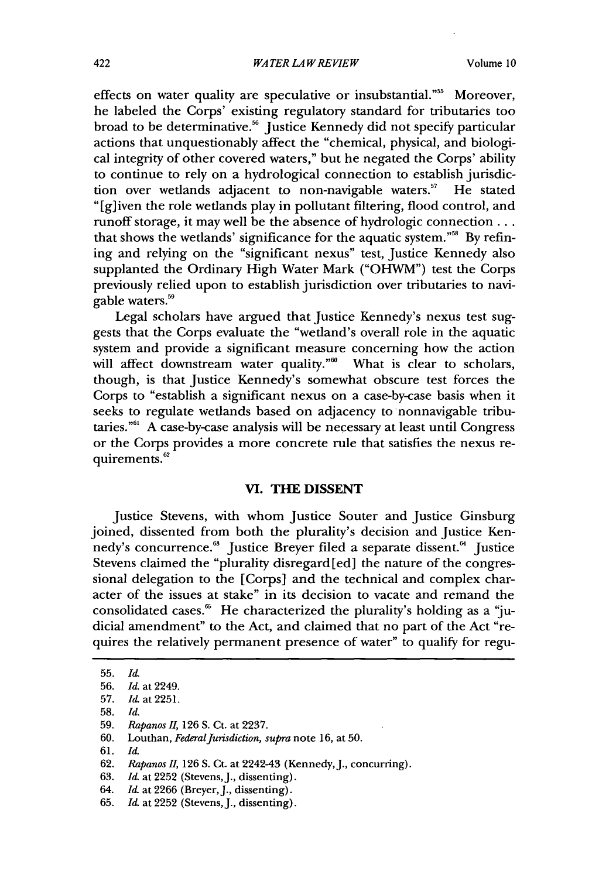effects on water quality are speculative or insubstantial."<sup>55</sup> Moreover, he labeled the Corps' existing regulatory standard for tributaries too broad to be determinative.<sup>56</sup> Justice Kennedy did not specify particular actions that unquestionably affect the "chemical, physical, and biological integrity of other covered waters," but he negated the Corps' ability to continue to rely on a hydrological connection to establish jurisdiction over wetlands adjacent to non-navigable waters.<sup>57</sup> He stated tion over wetlands adjacent to non-navigable waters.<sup>57</sup> "[g] iven the role wetlands play in pollutant filtering, flood control, and runoff storage, it may well be the absence of hydrologic connection... that shows the wetlands' significance for the aquatic system."<sup>58</sup> By refining and relying on the "significant nexus" test, Justice Kennedy also supplanted the Ordinary High Water Mark ("OHWM") test the Corps previously relied upon to establish jurisdiction over tributaries to navigable waters.<sup>59</sup>

Legal scholars have argued that Justice Kennedy's nexus test suggests that the Corps evaluate the "wetland's overall role in the aquatic system and provide a significant measure concerning how the action will affect downstream water quality."<sup>60</sup> What is clear to scholars, though, is that Justice Kennedy's somewhat obscure test forces the Corps to "establish a significant nexus on a case-by-case basis when it seeks to regulate wetlands based on adjacency to nonnavigable tributaries."6 A case-by-case analysis will be necessary at least until Congress or the Corps provides a more concrete rule that satisfies the nexus requirements.<sup>62</sup>

#### **VI. THE DISSENT**

Justice Stevens, with whom Justice Souter and Justice Ginsburg joined, dissented from both the plurality's decision and Justice Kennedy's concurrence.<sup>63</sup> Justice Breyer filed a separate dissent.<sup>64</sup> Justice Stevens claimed the "plurality disregard [ed] the nature of the congressional delegation to the [Corps] and the technical and complex character of the issues at stake" in its decision to vacate and remand the consolidated cases. $66$  He characterized the plurality's holding as a "judicial amendment" to the Act, and claimed that no part of the Act "requires the relatively permanent presence of water" to qualify for regu-

58. *Id.*

61. *Id.*

<sup>55.</sup> *Id.*

<sup>56.</sup> *Id.* at 2249.

<sup>57.</sup> *Id.* at 2251.

<sup>59.</sup> *Rapanos II,* 126 S. Ct. at 2237.

<sup>60.</sup> Louthan, *FederalJurisdiction, supra* note 16, at 50.

<sup>62.</sup> *Rapanos II,* 126 S. Ct. at 2242-43 (Kennedy, J., concurring).

<sup>63.</sup> *Id.* at 2252 (Stevens, J., dissenting).

<sup>64.</sup> *Id.* at 2266 (Breyer, J., dissenting).

<sup>65.</sup> *Id.* at 2252 (Stevens, J., dissenting).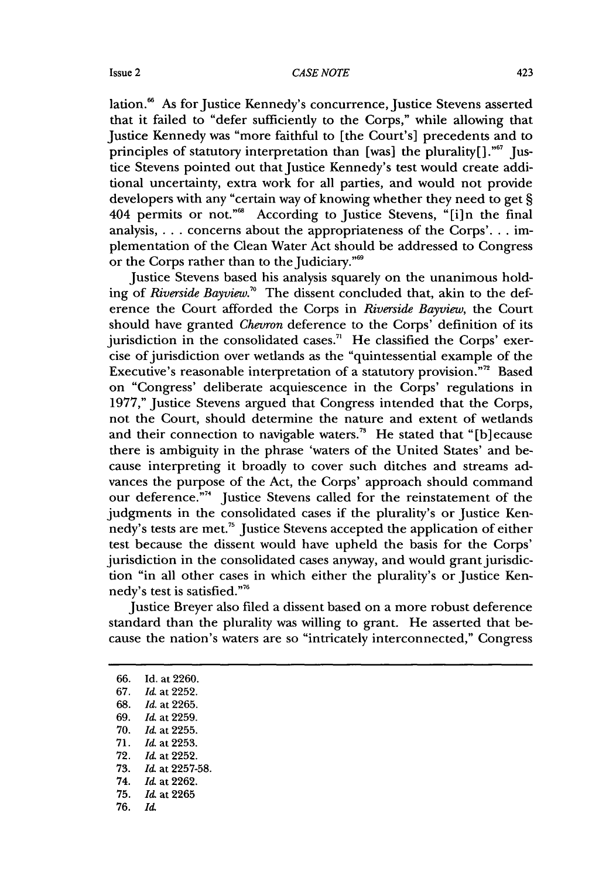lation.<sup>66</sup> As for Justice Kennedy's concurrence, Justice Stevens asserted that it failed to "defer sufficiently to the Corps," while allowing that Justice Kennedy was "more faithful to [the Court's] precedents and to principles of statutory interpretation than [was] the plurality[]." $67$  [ustice Stevens pointed out that Justice Kennedy's test would create additional uncertainty, extra work for all parties, and would not provide developers with any "certain way of knowing whether they need to get § 404 permits or not."<sup>68</sup> According to Justice Stevens, "[i]n the final analysis, . . . concerns about the appropriateness of the Corps'... implementation of the Clean Water Act should be addressed to Congress or the Corps rather than to the Judiciary."<sup>69</sup>

Justice Stevens based his analysis squarely on the unanimous holding of *Riverside Bayview."* The dissent concluded that, akin to the deference the Court afforded the Corps in *Riverside Bayview,* the Court should have granted *Chevron* deference to the Corps' definition of its jurisdiction in the consolidated cases.<sup> $n$ </sup> He classified the Corps' exercise of jurisdiction over wetlands as the "quintessential example of the Executive's reasonable interpretation of a statutory provision."<sup>72</sup> Based on "Congress' deliberate acquiescence in the Corps' regulations in 1977," Justice Stevens argued that Congress intended that the Corps, not the Court, should determine the nature and extent of wetlands and their connection to navigable waters.<sup>73</sup> He stated that "[b] ecause there is ambiguity in the phrase 'waters of the United States' and because interpreting it broadly to cover such ditches and streams advances the purpose of the Act, the Corps' approach should command our deference."<sup>74</sup> Justice Stevens called for the reinstatement of the judgments in the consolidated cases if the plurality's or Justice Kennedy's tests are met.<sup>75</sup> Justice Stevens accepted the application of either test because the dissent would have upheld the basis for the Corps' jurisdiction in the consolidated cases anyway, and would grant jurisdiction "in all other cases in which either the plurality's or Justice Kennedy's test is satisfied."<sup>7</sup>

Justice Breyer also filed a dissent based on a more robust deference standard than the plurality was willing to grant. He asserted that because the nation's waters are so "intricately interconnected," Congress

66. Id. at2260. 67. *Id,* at 2252. 68. *Id.* at 2265. 69. *Id.* at 2259. 70. *Id.* at 2255. 71. *Id.* at 2253. 72. *Id.* at 2252. 73. *Id.* at 2257-58. 74. *Id.* at 2262. 75. *Id,* at 2265 76. Id.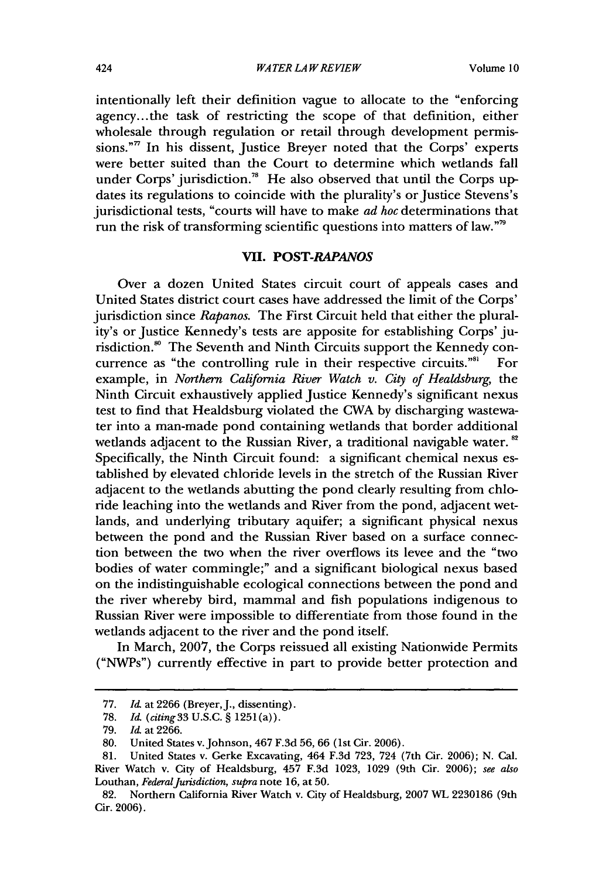intentionally left their definition vague to allocate to the "enforcing agency... the task of restricting the scope of that definition, either wholesale through regulation or retail through development permissions."" In his dissent, Justice Breyer noted that the Corps' experts were better suited than the Court to determine which wetlands fall under Corps' jurisdiction.<sup>78</sup> He also observed that until the Corps updates its regulations to coincide with the plurality's or Justice Stevens's jurisdictional tests, "courts will have to make *ad hoc* determinations that run the risk of transforming scientific questions into matters of law."'

#### **VII.** *POST-RAPANOS*

Over a dozen United States circuit court of appeals cases and United States district court cases have addressed the limit of the Corps' jurisdiction since *Rapanos.* The First Circuit held that either the plurality's or Justice Kennedy's tests are apposite for establishing Corps' jurisdiction.<sup>80</sup> The Seventh and Ninth Circuits support the Kennedy concurrence as "the controlling rule in their respective circuits."<sup>81</sup> For example, in *Northern California River Watch v. City of Healdsburg,* the Ninth Circuit exhaustively applied Justice Kennedy's significant nexus test to find that Healdsburg violated the CWA by discharging wastewater into a man-made pond containing wetlands that border additional wetlands adjacent to the Russian River, a traditional navigable water. **"** Specifically, the Ninth Circuit found: a significant chemical nexus established by elevated chloride levels in the stretch of the Russian River adjacent to the wetlands abutting the pond clearly resulting from chloride leaching into the wetlands and River from the pond, adjacent wetlands, and underlying tributary aquifer; a significant physical nexus between the pond and the Russian River based on a surface connection between the two when the river overflows its levee and the "two bodies of water commingle;" and a significant biological nexus based on the indistinguishable ecological connections between the pond and the river whereby bird, mammal and fish populations indigenous to Russian River were impossible to differentiate from those found in the wetlands adjacent to the river and the pond itself.

In March, **2007,** the Corps reissued all existing Nationwide Permits ("NWPs") currently effective in part to provide better protection and

<sup>77.</sup> *Id.* at 2266 (Breyer, J., dissenting).

<sup>78.</sup> *Id (citing* 33 U.S.C. § 1251 (a)).

<sup>79.</sup> *Id.* at 2266.

**<sup>80.</sup>** United States v. Johnson, 467 F.3d 56, 66 (1st Cir. 2006).

**<sup>81.</sup>** United States v. Gerke Excavating, 464 F.3d 723, 724 (7th Cir. 2006); N. Cal. River Watch v. City of Healdsburg, 457 F.3d 1023, 1029 (9th Cir. 2006); *see also* Louthan, *Federal Jurisdiction, supra* note 16, at **50.**

<sup>82.</sup> Northern California River Watch v. City of Healdsburg, **2007** WL 2230186 (9th Cir. 2006).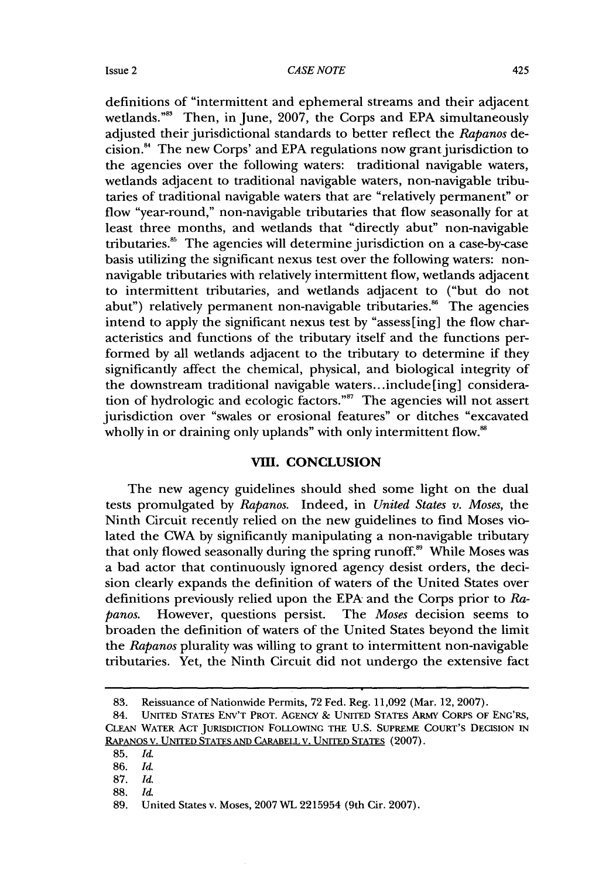#### *CASE NOTE*

definitions of "intermittent and ephemeral streams and their adjacent wetlands."<sup>88</sup> Then, in June, 2007, the Corps and EPA simultaneously adjusted their jurisdictional standards to better reflect the *Rapanos* decision. 4 The new Corps' and EPA regulations now grant jurisdiction to the agencies over the following waters: traditional navigable waters, wetlands adjacent to traditional navigable waters, non-navigable tributaries of traditional navigable waters that are "relatively permanent" or flow "year-round," non-navigable tributaries that flow seasonally for at least three months, and wetlands that "directly abut" non-navigable tributaries." The agencies will determine jurisdiction on a case-by-case basis utilizing the significant nexus test over the following waters: nonnavigable tributaries with relatively intermittent flow, wetlands adjacent to intermittent tributaries, and wetlands adjacent to ("but do not abut") relatively permanent non-navigable tributaries.<sup>86</sup> The agencies intend to apply the significant nexus test by "assess[ing] the flow characteristics and functions of the tributary itself and the functions performed by all wetlands adjacent to the tributary to determine if they significantly affect the chemical, physical, and biological integrity of the downstream traditional navigable waters.. .include[ing] consideration of hydrologic and ecologic factors."<sup>87</sup> The agencies will not assert jurisdiction over "swales or erosional features" or ditches "excavated wholly in or draining only uplands" with only intermittent flow.<sup>88</sup>

#### VIII. CONCLUSION

The new agency guidelines should shed some light on the dual tests promulgated by *Rapanos.* Indeed, in *United States v. Moses,* the Ninth Circuit recently relied on the new guidelines to find Moses violated the CWA by significantly manipulating a non-navigable tributary that only flowed seasonally during the spring runoff.<sup>89</sup> While Moses was a bad actor that continuously ignored agency desist orders, the decision clearly expands the definition of waters of the United States over definitions previously relied upon the EPA and the Corps prior to *Rapanos.* However, questions persist. The *Moses* decision seems to broaden the definition of waters of the United States beyond the limit the *Rapanos* plurality was willing to grant to intermittent non-navigable tributaries. Yet, the Ninth Circuit did not undergo the extensive fact

<sup>83.</sup> Reissuance of Nationwide Permits, 72 Fed. Reg. 11,092 (Mar. 12, 2007).

<sup>84.</sup> UNITED STATES ENV'T PROT. **AGENCY &** UNITED STATES ARMY CORPS OF ENG'RS, CLEAN WATER **ACT** JURISDICTION FOLLOWING THE **U.S.** SUPREME COURT'S DECISION IN RAPANOS V. UNITED STATES **AND** CARABELL V. UNITED STATES (2007).

**<sup>85.</sup>** *Id.*

<sup>86.</sup> *Id.*

<sup>87.</sup> *Id.*

<sup>88.</sup> *Id.*

<sup>89.</sup> United States v. Moses, 2007 WL 2215954 (9th Cir. 2007).